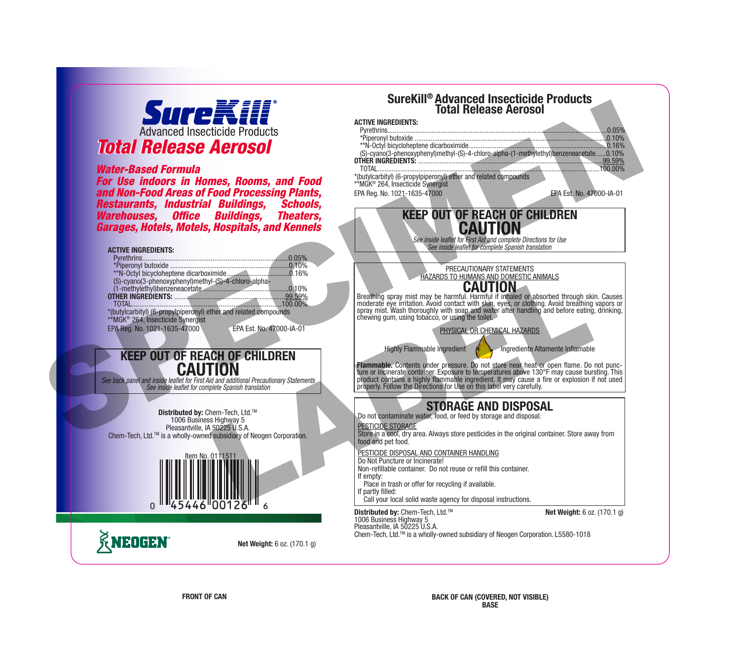

### *Water-Based Formula*

*For Use indoors in Homes, Rooms, and Food and Non-Food Areas of Food Processing Plants,*  **Restaurants, Industrial Buildings,** *Warehouses, Office Buildings, Theaters, Garages, Hotels, Motels, Hospitals, and Kennels*



## **KEEP OUT OF REACH OF CHILDREN CAUTION**

*See back panel and inside leaflet for First Aid and additional Precautionary Statements See inside leaflet for complete Spanish translation*





**Net Weight:** 6 oz. (170.1 g)



**KNEDGEN**